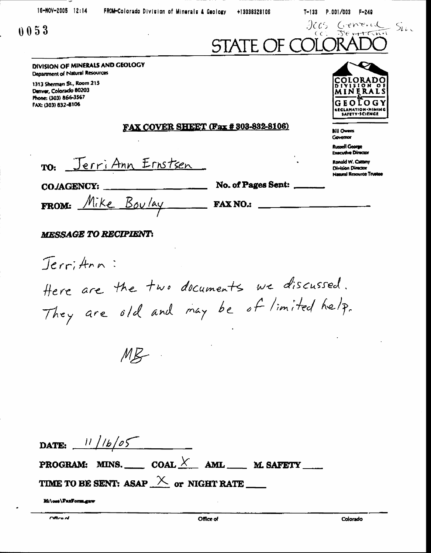+13038328106

T-133 P.001/003 F-249

EC 5.



חח

 $O G Y$ 

MINER

LECLAMATION-MINING

GEOL

Ronald W. Cattany **Division Director Natural Resource Trustee** 

**Bill Owens Governor Russell George Executive Director** 

# $0053$

### JENTRAN  $CC$ STATE OF

DIVISION OF MINERALS AND GEOLOGY Department of Natural Resources

1313 Sherman St., Room 215 Denver, Colorado 80203 Phone: (303) 866-3567 FAX: (303) 832-8106

#### FAX COVER SHEET (Fax # 303-832-8106)

TO: Jerri Ann Ernstsen

**COJAGENCY:** 

No. of Pages Sent:

FROM: Mike Boulay FAXNO.

## **MESSAGE TO RECIPIENT:**

Jerrithn: Here are the two documents we discussed. They are old and may be of limited help.

 $ME -$ 

| DATE: $11/16/05$ |  |                                              |
|------------------|--|----------------------------------------------|
|                  |  | <b>PROGRAM:</b> MINS. COAL $X$ AML M. SAFETY |
|                  |  |                                              |

Mi\ost\FaxForm.gav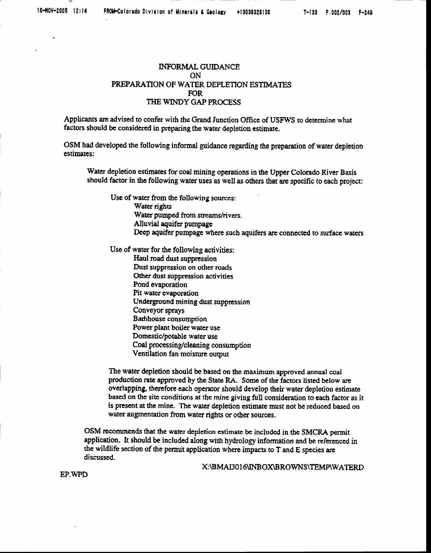#### **INFORMAL GUIDANCE** ON. PREPARATION OF WATER DEPLETION ESTIMATES **FOR** THE WINDY GAP PROCESS

Applicants are advised to confer with the Grand Junction Office of USFWS to determine what factors should be considered in preparing the water depletion estimate.

OSM had developed the following informal guidance regarding the preparation of water depletion estimates:

Water depletion estimates for coal mining operations in the Upper Colorado River Basis should factor in the following water uses as well as others that are specific to each project:

Use of water from the following sources: Water rights Water pumped from streams/rivers. Alluvial aquifer pumpage Deep aquifer pumpage where such aquifers are connected to surface waters

Use of water for the following activities:

Haul road dust suppression Dust suppression on other roads Other dust suppression activities Pond evaporation Pit water evaporation Underground mining dust suppression Conveyor sprays Bathhouse consumption Power plant boiler water use Domestic/potable water use Coal processing/cleaning consumption Ventilation fan moisture output

The water depletion should be based on the maximum approved annual coal production rate approved by the State RA. Some of the factors listed below are overlapping, therefore each operator should develop their water depletion estimate based on the site conditions at the mine giving full consideration to each factor as it is present at the mine. The water depletion estimate must not be reduced based on water augmentation from water rights or other sources.

OSM recommends that the water depletion estimate be included in the SMCRA permit application. It should be included along with hydrology information and be referenced in the wildlife section of the permit application where impacts to T and E species are discussed.

X:\BMAI3016\INBOX\BROWNS\TEMP\WATERD

EP WPD